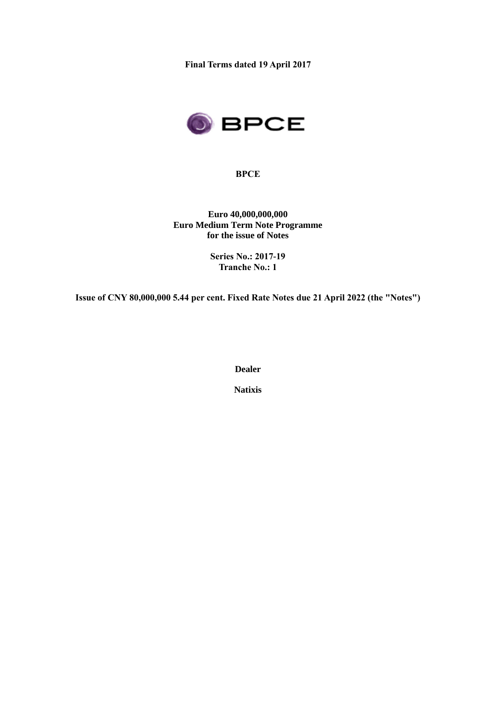**Final Terms dated 19 April 2017**



**BPCE**

**Euro 40,000,000,000 Euro Medium Term Note Programme for the issue of Notes**

> **Series No.: 2017-19 Tranche No.: 1**

**Issue of CNY 80,000,000 5.44 per cent. Fixed Rate Notes due 21 April 2022 (the "Notes")**

**Dealer**

**Natixis**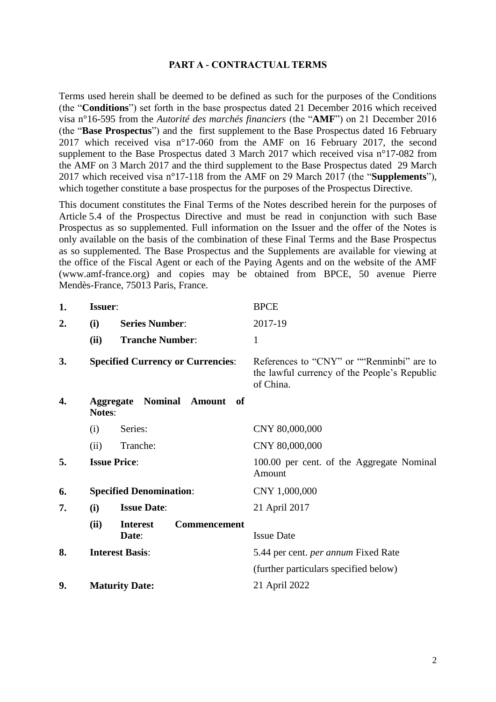#### **PART A - CONTRACTUAL TERMS**

Terms used herein shall be deemed to be defined as such for the purposes of the Conditions (the "**Conditions**") set forth in the base prospectus dated 21 December 2016 which received visa n°16-595 from the *Autorité des marchés financiers* (the "**AMF**") on 21 December 2016 (the "**Base Prospectus**") and the first supplement to the Base Prospectus dated 16 February 2017 which received visa n°17-060 from the AMF on 16 February 2017, the second supplement to the Base Prospectus dated 3 March 2017 which received visa n°17-082 from the AMF on 3 March 2017 and the third supplement to the Base Prospectus dated 29 March 2017 which received visa n°17-118 from the AMF on 29 March 2017 (the "**Supplements**"), which together constitute a base prospectus for the purposes of the Prospectus Directive.

This document constitutes the Final Terms of the Notes described herein for the purposes of Article 5.4 of the Prospectus Directive and must be read in conjunction with such Base Prospectus as so supplemented. Full information on the Issuer and the offer of the Notes is only available on the basis of the combination of these Final Terms and the Base Prospectus as so supplemented. The Base Prospectus and the Supplements are available for viewing at the office of the Fiscal Agent or each of the Paying Agents and on the website of the AMF (www.amf-france.org) and copies may be obtained from BPCE, 50 avenue Pierre Mendès-France, 75013 Paris, France.

| 1. | <b>Issuer:</b>                 |                                                 | <b>BPCE</b>                                                                                            |
|----|--------------------------------|-------------------------------------------------|--------------------------------------------------------------------------------------------------------|
| 2. | (i)                            | <b>Series Number:</b>                           | 2017-19                                                                                                |
|    | (ii)                           | <b>Tranche Number:</b>                          | $\mathbf{1}$                                                                                           |
| 3. |                                | <b>Specified Currency or Currencies:</b>        | References to "CNY" or ""Renminbi" are to<br>the lawful currency of the People's Republic<br>of China. |
| 4. | <b>Notes:</b>                  | <b>Aggregate Nominal Amount</b><br>- of         |                                                                                                        |
|    | (i)                            | Series:                                         | CNY 80,000,000                                                                                         |
|    | (ii)                           | Tranche:                                        | CNY 80,000,000                                                                                         |
| 5. |                                | <b>Issue Price:</b>                             | 100.00 per cent. of the Aggregate Nominal<br>Amount                                                    |
| 6. | <b>Specified Denomination:</b> |                                                 | CNY 1,000,000                                                                                          |
| 7. | (i)                            | <b>Issue Date:</b>                              | 21 April 2017                                                                                          |
|    | (ii)                           | <b>Interest</b><br><b>Commencement</b><br>Date: | <b>Issue Date</b>                                                                                      |
| 8. | <b>Interest Basis:</b>         |                                                 | 5.44 per cent. <i>per annum</i> Fixed Rate                                                             |
|    |                                |                                                 | (further particulars specified below)                                                                  |
| 9. |                                | <b>Maturity Date:</b>                           | 21 April 2022                                                                                          |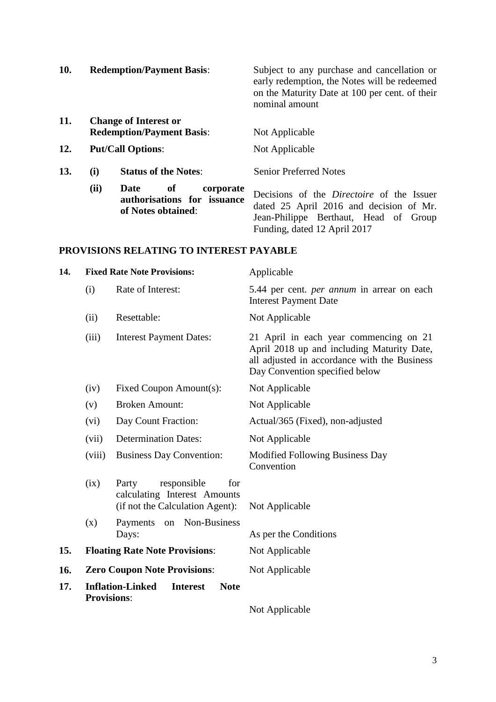| 10. |                                                                  | <b>Redemption/Payment Basis:</b>                                             | Subject to any purchase and cancellation or<br>early redemption, the Notes will be redeemed<br>on the Maturity Date at 100 per cent. of their<br>nominal amount                                                                                                                                                                                                                                                                   |
|-----|------------------------------------------------------------------|------------------------------------------------------------------------------|-----------------------------------------------------------------------------------------------------------------------------------------------------------------------------------------------------------------------------------------------------------------------------------------------------------------------------------------------------------------------------------------------------------------------------------|
| 11. | <b>Change of Interest or</b><br><b>Redemption/Payment Basis:</b> |                                                                              | Not Applicable                                                                                                                                                                                                                                                                                                                                                                                                                    |
| 12. |                                                                  | <b>Put/Call Options:</b>                                                     | Not Applicable                                                                                                                                                                                                                                                                                                                                                                                                                    |
| 13. | (i)                                                              | <b>Status of the Notes:</b>                                                  | <b>Senior Preferred Notes</b>                                                                                                                                                                                                                                                                                                                                                                                                     |
|     | (ii)                                                             | Date<br>corporate<br>0f<br>authorisations for issuance<br>of Notes obtained: | Decisions of the <i>Directoire</i> of the Issuer<br>dated 25 April 2016 and decision of Mr.<br>$\mathbf{D}$ $\mathbf{D}$ $\mathbf{D}$ $\mathbf{D}$ $\mathbf{D}$ $\mathbf{D}$ $\mathbf{D}$ $\mathbf{D}$ $\mathbf{D}$ $\mathbf{D}$ $\mathbf{D}$ $\mathbf{D}$ $\mathbf{D}$ $\mathbf{D}$ $\mathbf{D}$ $\mathbf{D}$ $\mathbf{D}$ $\mathbf{D}$ $\mathbf{D}$ $\mathbf{D}$ $\mathbf{D}$ $\mathbf{D}$ $\mathbf{D}$ $\mathbf{D}$ $\mathbf{$ |

Jean-Philippe Berthaut, Head of Group

Funding, dated 12 April 2017

#### **PROVISIONS RELATING TO INTEREST PAYABLE**

| 14. | <b>Fixed Rate Note Provisions:</b>                                                                                                                  |                                      | Applicable                                                                                                                                                             |
|-----|-----------------------------------------------------------------------------------------------------------------------------------------------------|--------------------------------------|------------------------------------------------------------------------------------------------------------------------------------------------------------------------|
|     | (i)                                                                                                                                                 | Rate of Interest:                    | 5.44 per cent. <i>per annum</i> in arrear on each<br><b>Interest Payment Date</b>                                                                                      |
|     | (ii)                                                                                                                                                | Resettable:                          | Not Applicable                                                                                                                                                         |
|     | (iii)                                                                                                                                               | <b>Interest Payment Dates:</b>       | 21 April in each year commencing on 21<br>April 2018 up and including Maturity Date,<br>all adjusted in accordance with the Business<br>Day Convention specified below |
|     | (iv)                                                                                                                                                | Fixed Coupon Amount(s):              | Not Applicable                                                                                                                                                         |
|     | (v)                                                                                                                                                 | <b>Broken Amount:</b>                | Not Applicable                                                                                                                                                         |
|     | (vi)                                                                                                                                                | Day Count Fraction:                  | Actual/365 (Fixed), non-adjusted                                                                                                                                       |
|     | (vii)                                                                                                                                               | <b>Determination Dates:</b>          | Not Applicable                                                                                                                                                         |
|     | <b>Business Day Convention:</b><br>(viii)<br>(ix)<br>Party<br>responsible<br>for<br>calculating Interest Amounts<br>(if not the Calculation Agent): |                                      | Modified Following Business Day<br>Convention                                                                                                                          |
|     |                                                                                                                                                     |                                      | Not Applicable                                                                                                                                                         |
|     | (x)                                                                                                                                                 | on Non-Business<br>Payments<br>Days: | As per the Conditions                                                                                                                                                  |
| 15. | <b>Floating Rate Note Provisions:</b>                                                                                                               |                                      | Not Applicable                                                                                                                                                         |
| 16. | <b>Zero Coupon Note Provisions:</b>                                                                                                                 |                                      | Not Applicable                                                                                                                                                         |
| 17. | <b>Inflation-Linked</b><br><b>Interest</b><br><b>Note</b><br><b>Provisions:</b>                                                                     |                                      |                                                                                                                                                                        |
|     |                                                                                                                                                     |                                      |                                                                                                                                                                        |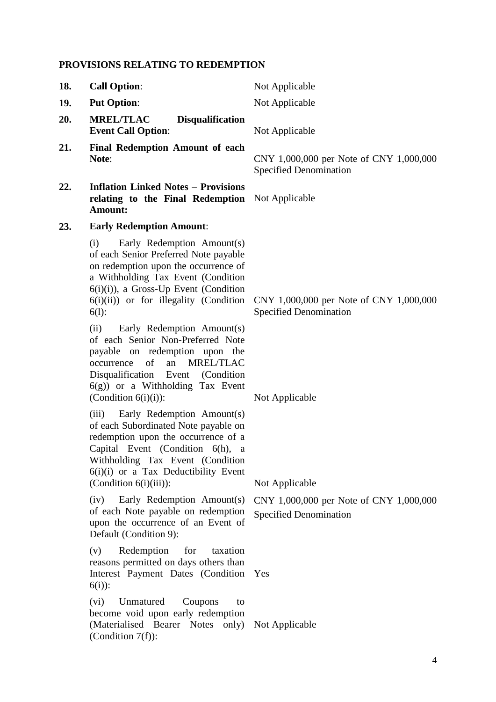# **PROVISIONS RELATING TO REDEMPTION**

| 18. | <b>Call Option:</b>                                                                                                                                                                                                                                            | Not Applicable                                                           |
|-----|----------------------------------------------------------------------------------------------------------------------------------------------------------------------------------------------------------------------------------------------------------------|--------------------------------------------------------------------------|
| 19. | <b>Put Option:</b>                                                                                                                                                                                                                                             | Not Applicable                                                           |
| 20. | <b>MREL/TLAC</b><br><b>Disqualification</b><br><b>Event Call Option:</b>                                                                                                                                                                                       | Not Applicable                                                           |
| 21. | <b>Final Redemption Amount of each</b><br>Note:                                                                                                                                                                                                                | CNY 1,000,000 per Note of CNY 1,000,000<br><b>Specified Denomination</b> |
| 22. | <b>Inflation Linked Notes - Provisions</b><br>relating to the Final Redemption<br>Amount:                                                                                                                                                                      | Not Applicable                                                           |
| 23. | <b>Early Redemption Amount:</b>                                                                                                                                                                                                                                |                                                                          |
|     | Early Redemption Amount(s)<br>(i)<br>of each Senior Preferred Note payable<br>on redemption upon the occurrence of<br>a Withholding Tax Event (Condition<br>6(i)(i)), a Gross-Up Event (Condition<br>$6(i)(ii)$ or for illegality (Condition<br>$6(l)$ :       | CNY 1,000,000 per Note of CNY 1,000,000<br><b>Specified Denomination</b> |
|     | (ii)<br>Early Redemption Amount(s)<br>of each Senior Non-Preferred Note<br>payable on redemption upon the<br>of<br><b>MREL/TLAC</b><br>an<br>occurrence<br>Disqualification Event (Condition<br>$6(g)$ ) or a Withholding Tax Event<br>(Condition $6(i)(i)$ ): | Not Applicable                                                           |
|     | (iii) Early Redemption Amount(s)<br>of each Subordinated Note payable on<br>redemption upon the occurrence of a<br>Capital Event (Condition 6(h), a<br>Withholding Tax Event (Condition<br>6(i)(i) or a Tax Deductibility Event<br>$(Condition 6(i)(iii))$ :   | Not Applicable                                                           |
|     | Early Redemption Amount(s)<br>(iv)<br>of each Note payable on redemption<br>upon the occurrence of an Event of<br>Default (Condition 9):                                                                                                                       | CNY 1,000,000 per Note of CNY 1,000,000<br><b>Specified Denomination</b> |
|     | Redemption<br>for<br>(v)<br>taxation<br>reasons permitted on days others than<br>Interest Payment Dates (Condition<br>$6(i)$ :                                                                                                                                 | Yes                                                                      |
|     | Unmatured<br>Coupons<br>(vi)<br>to<br>become void upon early redemption<br>(Materialised Bearer Notes only) Not Applicable<br>(Condition $7(f)$ ):                                                                                                             |                                                                          |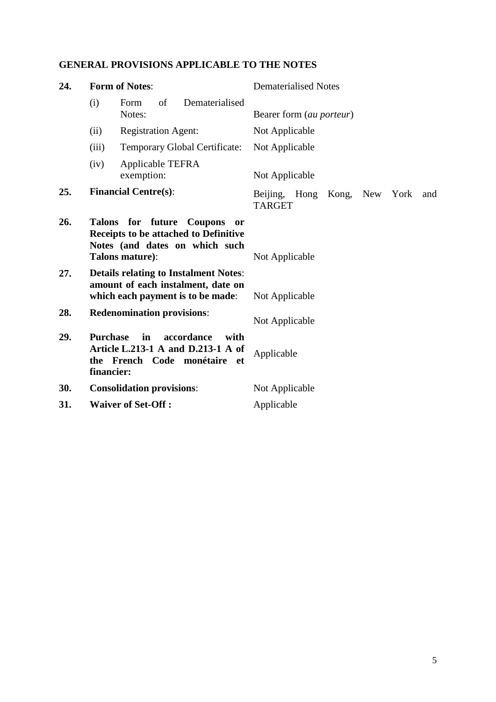# **GENERAL PROVISIONS APPLICABLE TO THE NOTES**

| 24. | <b>Form of Notes:</b>                                                                                                                |                                                                                                          | <b>Dematerialised Notes</b>                                      |  |
|-----|--------------------------------------------------------------------------------------------------------------------------------------|----------------------------------------------------------------------------------------------------------|------------------------------------------------------------------|--|
|     | (i)                                                                                                                                  | of<br>Dematerialised<br>Form<br>Notes:                                                                   | Bearer form (au porteur)                                         |  |
|     | (ii)                                                                                                                                 | <b>Registration Agent:</b>                                                                               | Not Applicable                                                   |  |
|     | (iii)                                                                                                                                | <b>Temporary Global Certificate:</b>                                                                     | Not Applicable                                                   |  |
|     | (iv)                                                                                                                                 | Applicable TEFRA<br>exemption:                                                                           | Not Applicable                                                   |  |
| 25. |                                                                                                                                      | <b>Financial Centre(s):</b>                                                                              | Beijing,<br>Hong<br>Kong,<br>New<br>York<br>and<br><b>TARGET</b> |  |
| 26. | Talons for future Coupons<br><b>or</b><br>Receipts to be attached to Definitive<br>Notes (and dates on which such<br>Talons mature): |                                                                                                          | Not Applicable                                                   |  |
| 27. | <b>Details relating to Instalment Notes:</b><br>amount of each instalment, date on<br>which each payment is to be made:              |                                                                                                          | Not Applicable                                                   |  |
| 28. |                                                                                                                                      | <b>Redenomination provisions:</b>                                                                        | Not Applicable                                                   |  |
| 29. | <b>Purchase</b><br>financier:                                                                                                        | in<br>accordance<br>with<br>Article L.213-1 A and D.213-1 A of<br>the French Code monétaire<br><b>et</b> | Applicable                                                       |  |
| 30. |                                                                                                                                      | <b>Consolidation provisions:</b>                                                                         | Not Applicable                                                   |  |
| 31. |                                                                                                                                      | <b>Waiver of Set-Off:</b>                                                                                | Applicable                                                       |  |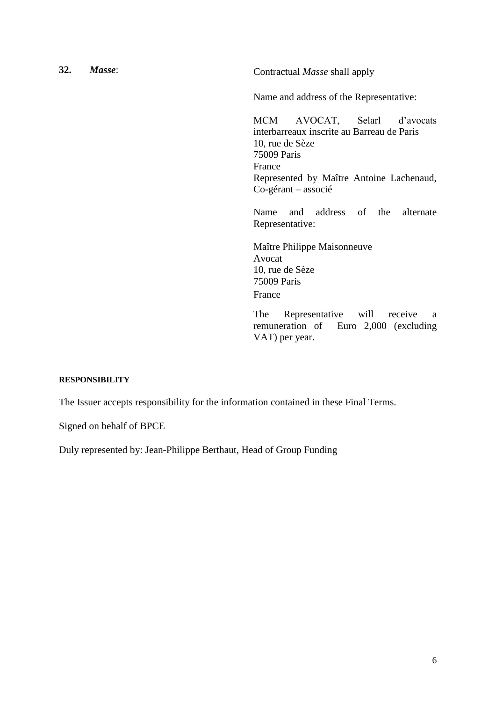**32.** *Masse*: Contractual *Masse* shall apply

Name and address of the Representative:

MCM AVOCAT, Selarl d'avocats interbarreaux inscrite au Barreau de Paris 10, rue de Sèze 75009 Paris France Represented by Maître Antoine Lachenaud, Co-gérant – associé

Name and address of the alternate Representative:

Maître Philippe Maisonneuve Avocat 10, rue de Sèze 75009 Paris France

The Representative will receive a remuneration of Euro 2,000 (excluding VAT) per year.

#### **RESPONSIBILITY**

The Issuer accepts responsibility for the information contained in these Final Terms.

Signed on behalf of BPCE

Duly represented by: Jean-Philippe Berthaut, Head of Group Funding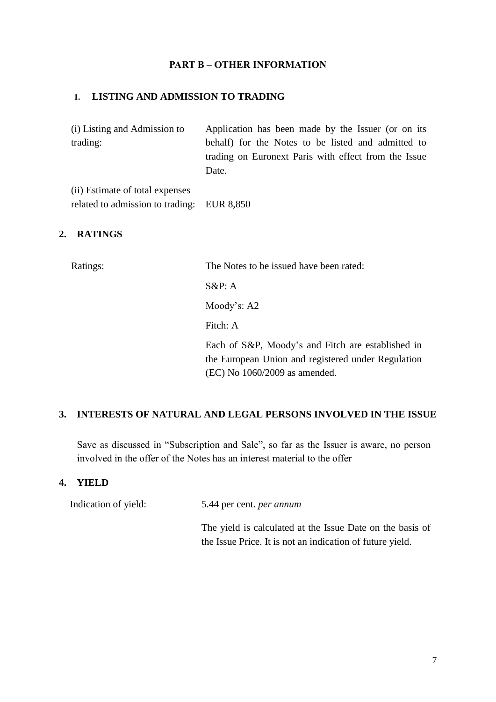### **PART B – OTHER INFORMATION**

#### **1. LISTING AND ADMISSION TO TRADING**

(i) Listing and Admission to trading: Application has been made by the Issuer (or on its behalf) for the Notes to be listed and admitted to trading on Euronext Paris with effect from the Issue Date.

(ii) Estimate of total expenses related to admission to trading: EUR 8,850

## **2. RATINGS**

Ratings: The Notes to be issued have been rated:

 $S\&P: A$ 

Moody's: A2

Fitch: A

Each of S&P, Moody's and Fitch are established in the European Union and registered under Regulation (EC) No 1060/2009 as amended.

### **3. INTERESTS OF NATURAL AND LEGAL PERSONS INVOLVED IN THE ISSUE**

Save as discussed in "Subscription and Sale", so far as the Issuer is aware, no person involved in the offer of the Notes has an interest material to the offer

#### **4. YIELD**

Indication of yield: 5.44 per cent. *per annum*

The yield is calculated at the Issue Date on the basis of the Issue Price. It is not an indication of future yield.